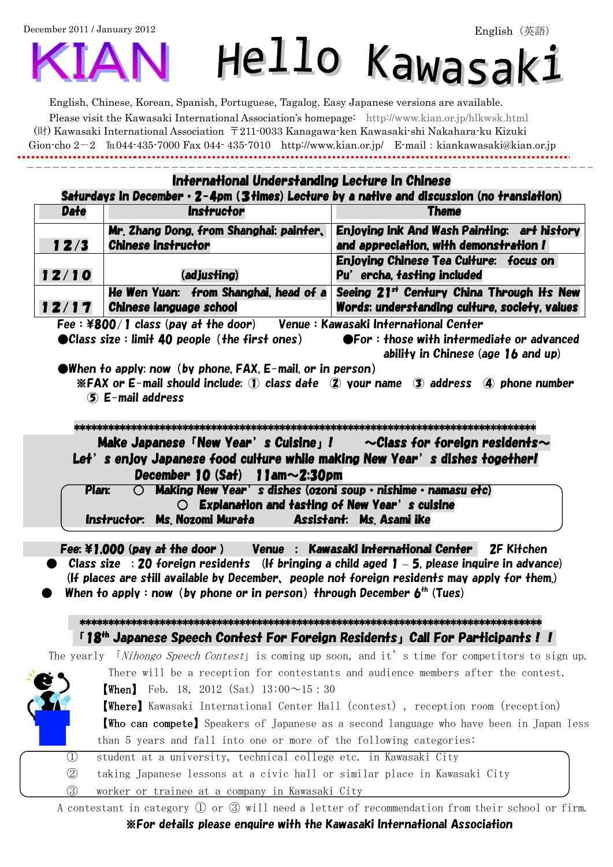December 2011 / January 2012

# Hello Kawasak:

English, Chinese, Korean, Spanish, Portuguese, Tagalog, Easy Japanese versions are available. Please visit the Kawasaki International Association's homepage: http://www.kian.or.jp/hlkwsk.html (財) Kawasaki International Association 〒211-0033 Kanagawa-ken Kawasaki-shi Nakahara-ku Kizuki Gion-cho 2-2 ℡044-435-7000 Fax 044- 435-7010 http://www.kian.or.jp/ E-mail:kiankawasaki@kian.or.jp

|               |                                                                                                                                                                                                                                                                | International Understanding Lecture In Chinese                                                                                      |
|---------------|----------------------------------------------------------------------------------------------------------------------------------------------------------------------------------------------------------------------------------------------------------------|-------------------------------------------------------------------------------------------------------------------------------------|
|               |                                                                                                                                                                                                                                                                | Saturdays in December $\cdot$ 2-4pm (3 times) Lecture by a native and discussion (no translation)                                   |
| <b>Date</b>   | <b>Instructor</b>                                                                                                                                                                                                                                              | <b>Theme</b>                                                                                                                        |
|               | Mr. Zhang Dong, from Shanghai: painter,                                                                                                                                                                                                                        | Enjoying Ink And Wash Painting: art history                                                                                         |
| 12/3          | <b>Chinese instructor</b>                                                                                                                                                                                                                                      | and appreciation, with demonstration!                                                                                               |
| 12/10         | (adjusting)                                                                                                                                                                                                                                                    | Enjoying Chinese Tea Culture: focus on<br>Pu' ercha, tasting included                                                               |
|               | He Wen Yuan: from Shanghai, head of a                                                                                                                                                                                                                          | Seeing 21st Century China Through Its New                                                                                           |
|               | 12/17   Chinese language school                                                                                                                                                                                                                                | Words: understanding culture, society, values                                                                                       |
|               | Fee: \\$800/1 class (pay at the door) Venue: Kawasaki International Center                                                                                                                                                                                     |                                                                                                                                     |
|               | $\bullet$ When to apply: now (by phone, FAX, E-mail, or in person)<br>$(5)$ E-mail address                                                                                                                                                                     | ability in Chinese (age $16$ and up)<br>$*FAX$ or E-mail should include: ① class date $*D$ your name $*D$ address $*D$ phone number |
|               | December 10 $(Sat)$ 1 am $\sim$ 2:30pm<br>$\bigcirc$ Making New Year's dishes (ozoni soup $\cdot$ nishime $\cdot$ namasu etc)<br>Plan:                                                                                                                         |                                                                                                                                     |
|               | Instructor: Ms. Nozomi Murata         Assistant: Ms. Asami ike                                                                                                                                                                                                 | $\bigcirc$ Explanation and tasting of New Year's cuisine                                                                            |
|               | Fee: ¥1,000 (pay at the door) Venue : Kawasaki International Center 2F Kitchen<br>(If places are still available by December, people not foreign residents may apply for them.)<br>When to apply: now (by phone or in person) through December $b^{th}$ (Tues) | $\bullet$ $\,$ Class size $\,$ : 20 foreign residents $\,$ (If bringing a child aged 1 $-$ 5, please inquire in advance)            |
|               | 「18 <sup>th</sup> Japanese Speech Contest For Foreign Residents」Call For Participants ! !                                                                                                                                                                      |                                                                                                                                     |
|               |                                                                                                                                                                                                                                                                | The yearly <i>Nihongo Speech Contest</i> is coming up soon, and it's time for competitors to sign up.                               |
|               |                                                                                                                                                                                                                                                                | There will be a reception for contestants and audience members after the contest.                                                   |
|               | <b>(When)</b> Feb. 18, 2012 (Sat) $13:00 \sim 15:30$                                                                                                                                                                                                           |                                                                                                                                     |
|               |                                                                                                                                                                                                                                                                | <b>(Where)</b> Kawasaki International Center Hall (contest), reception room (reception)                                             |
|               |                                                                                                                                                                                                                                                                | <b>Who can compete</b> Speakers of Japanese as a second language who have been in Japan less                                        |
|               | than 5 years and fall into one or more of the following categories:                                                                                                                                                                                            |                                                                                                                                     |
| $\cup$        | student at a university, technical college etc. in Kawasaki City                                                                                                                                                                                               |                                                                                                                                     |
| $\circled{2}$ | taking Japanese lessons at a civic hall or similar place in Kawasaki City                                                                                                                                                                                      |                                                                                                                                     |

※For details please enquire with the Kawasaki International Association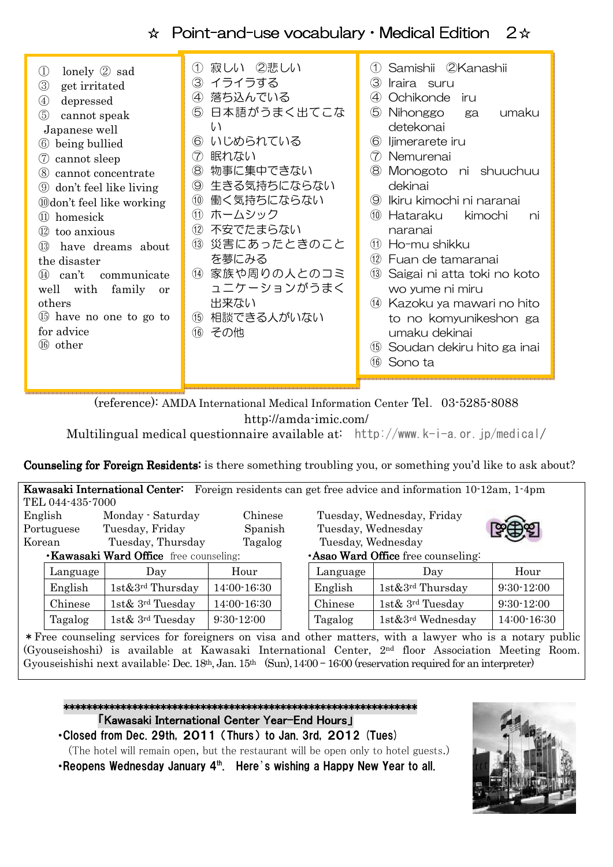# ☆ Point-and-use vocabulary · Medical Edition 2☆

| lonely $\oslash$ sad<br>$\rm (1)$<br>3<br>get irritated<br>depressed<br>$\circled{4}$<br>5<br>cannot speak<br>Japanese well<br>being bullied<br>(6)<br>cannot sleep<br>(7)<br>cannot concentrate<br>(8)<br>don't feel like living<br>(9)<br><b>Odon't feel like working</b><br>homesick<br>(11)<br>too anxious<br>(12)<br>have dreams about<br>(13)<br>the disaster<br>can't<br>communicate<br>(14)<br>with<br>family<br>well<br><b>or</b><br>others<br>15 have no one to go to<br>for advice<br>other<br>(16) | 寂しい ②悲しい<br>(1)<br>イライラする<br>3)<br>落ち込んでいる<br>$\left( 4\right)$<br>日本語がうまく出てこな<br>5<br>い<br>いじめられている<br>$\circledS$<br>眠れない<br>(7)<br>物事に集中できない<br>$\circledR$<br>生きる気持ちにならない<br>$\circledS$<br>働く気持ちにならない<br>(10)<br>ホームシック<br>(11)<br>不安でたまらない<br>(12)<br>災害にあったときのこと<br>(13)<br>を夢にみる<br>家族や周りの人とのコミ<br>(14)<br>ュニケーションがうまく<br>出来ない<br>相談できる人がいない<br>(15)<br>その他<br>(16) | Samishii 2Kanashii<br>(1)<br>(3)<br>Iraira suru<br>Ochikonde<br>$\left( 4\right)$<br>iru.<br>(5)<br>Nihonggo<br>umaku<br>ga<br>detekonai<br>$\circled6$<br>liimerarete iru<br>$\left( 7\right)$<br>Nemurenai<br>$\circledR$<br>Monogoto ni shuuchuu<br>dekinai<br>Ikiru kimochi ni naranai<br>$\circledS$<br>(10)<br>Hataraku<br>kimochi<br>ni<br>naranai<br>(11)<br>Ho-mu shikku<br>(12)<br>Fuan de tamaranai<br>(13)<br>Saigai ni atta toki no koto<br>wo yume ni miru<br>Kazoku ya mawari no hito<br>(14)<br>to no komyunikeshon ga<br>umaku dekinai<br>Soudan dekiru hito ga inai<br>(15)<br>(16)<br>Sono ta |
|----------------------------------------------------------------------------------------------------------------------------------------------------------------------------------------------------------------------------------------------------------------------------------------------------------------------------------------------------------------------------------------------------------------------------------------------------------------------------------------------------------------|-----------------------------------------------------------------------------------------------------------------------------------------------------------------------------------------------------------------------------------------------------------------------------------------------------------------------------------------------------------------------------|------------------------------------------------------------------------------------------------------------------------------------------------------------------------------------------------------------------------------------------------------------------------------------------------------------------------------------------------------------------------------------------------------------------------------------------------------------------------------------------------------------------------------------------------------------------------------------------------------------------|
|----------------------------------------------------------------------------------------------------------------------------------------------------------------------------------------------------------------------------------------------------------------------------------------------------------------------------------------------------------------------------------------------------------------------------------------------------------------------------------------------------------------|-----------------------------------------------------------------------------------------------------------------------------------------------------------------------------------------------------------------------------------------------------------------------------------------------------------------------------------------------------------------------------|------------------------------------------------------------------------------------------------------------------------------------------------------------------------------------------------------------------------------------------------------------------------------------------------------------------------------------------------------------------------------------------------------------------------------------------------------------------------------------------------------------------------------------------------------------------------------------------------------------------|

(reference): AMDA International Medical Information Center Tel.03-5285-8088 http://amda-imic.com/

Multilingual medical questionnaire available at: http://www.k-i-a.or.jp/medical/

Counseling for Foreign Residents: is there something troubling you, or something you'd like to ask about?

| Foreign residents can get free advice and information 10-12am, 1-4pm<br>Kawasaki International Center: |                                              |                           |              |  |                    |                                          |              |
|--------------------------------------------------------------------------------------------------------|----------------------------------------------|---------------------------|--------------|--|--------------------|------------------------------------------|--------------|
|                                                                                                        | TEL 044-435-7000                             |                           |              |  |                    |                                          |              |
|                                                                                                        | English                                      | Monday - Saturday         | Chinese      |  |                    | Tuesday, Wednesday, Friday               |              |
|                                                                                                        | Portuguese                                   | Tuesday, Friday           | Spanish      |  | Tuesday, Wednesday |                                          |              |
| Korean                                                                                                 |                                              | Tuesday, Thursday         | Tagalog      |  | Tuesday, Wednesday |                                          |              |
|                                                                                                        | <b>Kawasaki Ward Office</b> free counseling: |                           |              |  |                    | <b>Asao Ward Office</b> free counseling: |              |
|                                                                                                        | Language                                     | Day                       | Hour         |  | Language           | Day                                      | Hour         |
|                                                                                                        | English                                      | $1$ st $&3^{rd}$ Thursday | 14:00-16:30  |  | English            | $1st\&3^{rd}$ Thursday                   | $9:30-12:00$ |
|                                                                                                        | Chinese                                      | 1st& 3rd Tuesday          | 14:00-16:30  |  | Chinese            | 1st& 3rd Tuesday                         | $9:30-12:00$ |
|                                                                                                        | Tagalog                                      | 1st& 3rd Tuesday          | $9:30-12:00$ |  | Tagalog            | 1st&3 <sup>rd</sup> Wednesday            | 14:00-16:30  |

\*Free counseling services for foreigners on visa and other matters, with a lawyer who is a notary public (Gyouseishoshi) is available at Kawasaki International Center, 2nd floor Association Meeting Room. Gyouseishishi next available: Dec. 18<sup>th</sup>, Jan. 15<sup>th</sup> (Sun), 14:00 – 16:00 (reservation required for an interpreter)



(The hotel will remain open, but the restaurant will be open only to hotel guests.)

• Reopens Wednesday January 4<sup>th</sup>. Here's wishing a Happy New Year to all.

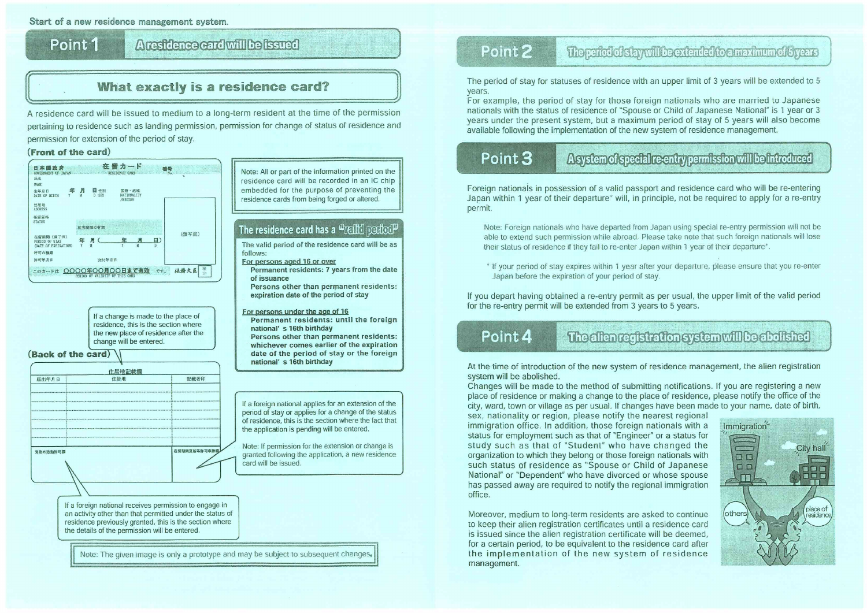Start of a new residence management system.

Point 1

# Aresidence card will be fested

# What exactly is a residence card?

A residence card will be issued to medium to a long-term resident at the time of the permission pertaining to residence such as landing permission, permission for change of status of residence and permission for extension of the period of stay.

### (Front of the card)



If a change is made to the place of residence, this is the section where the new place of residence after the change will be entered.

### (Back of the card)

| 住居地<br>届出年月日 |  | 記載者印         |  |
|--------------|--|--------------|--|
|              |  |              |  |
|              |  |              |  |
|              |  |              |  |
|              |  |              |  |
|              |  |              |  |
|              |  |              |  |
|              |  |              |  |
| 資格外活動許可欄     |  | 在留期間更新等許可申請欄 |  |
|              |  |              |  |

Note: All or part of the information printed on the residence card will be recorded in an IC chip embedded for the purpose of preventing the residence cards from being forged or altered.

## The residence card has a  $\triangle$ redid mariod  $\mathbb P$

The valid period of the residence card will be as follows:

- For persons aged 16 or over
- Permanent residents: 7 years from the date of issuance
- Persons other than permanent residents: expiration date of the period of stay
- For persons under the age of 16
- Permanent residents: until the foreign national's 16th birthday

Persons other than permanent residents: whichever comes earlier of the expiration date of the period of stay or the foreign national's 16th birthday

If a foreign national applies for an extension of the period of stay or applies for a change of the status of residence, this is the section where the fact that the application is pending will be entered.

Note: If permission for the extension or change is granted following the application, a new residence card will be issued.

If a foreign national receives permission to engage in an activity other than that permitted under the status of residence previously granted, this is the section where the details of the permission will be entered.

Note: The given image is only a prototype and may be subject to subsequent changes.

# Point<sub>2</sub>

The period of stay for statuses of residence with an upper limit of 3 years will be extended to 5 years.

For example, the period of stay for those foreign nationals who are married to Japanese nationals with the status of residence of "Spouse or Child of Japanese National" is 1 year or 3 years under the present system, but a maximum period of stay of 5 years will also become available following the implementation of the new system of residence management.

# Point 3

Foreign nationals in possession of a valid passport and residence card who will be re-entering Japan within 1 year of their departure\* will, in principle, not be required to apply for a re-entry permit.

Note: Foreign nationals who have departed from Japan using special re-entry permission will not be able to extend such permission while abroad. Please take note that such foreign nationals will lose their status of residence if they fail to re-enter Japan within 1 year of their departure\*.

\* If your period of stay expires within 1 year after your departure, please ensure that you re-enter Japan before the expiration of your period of stay.

If you depart having obtained a re-entry permit as per usual, the upper limit of the valid period for the re-entry permit will be extended from 3 years to 5 years.

# Point 4

At the time of introduction of the new system of residence management, the alien registration system will be abolished.

Changes will be made to the method of submitting notifications. If you are registering a new place of residence or making a change to the place of residence, please notify the office of the city, ward, town or village as per usual. If changes have been made to your name, date of birth, sex, nationality or region, please notify the nearest regional immigration office. In addition, those foreign nationals with a Immigration status for employment such as that of "Engineer" or a status for study such as that of "Student" who have changed the organization to which they belong or those foreign nationals with  $\Box$ such status of residence as "Spouse or Child of Japanese  $\Box$ National" or "Dependent" who have divorced or whose spouse m. has passed away are required to notify the regional immigration office.

Moreover, medium to long-term residents are asked to continue to keep their alien registration certificates until a residence card is issued since the alien registration certificate will be deemed, for a certain period, to be equivalent to the residence card after the implementation of the new system of residence management.

The particle distay will be extended to a maximum of Sypers

Asystem of special re-entry permission will be introduced